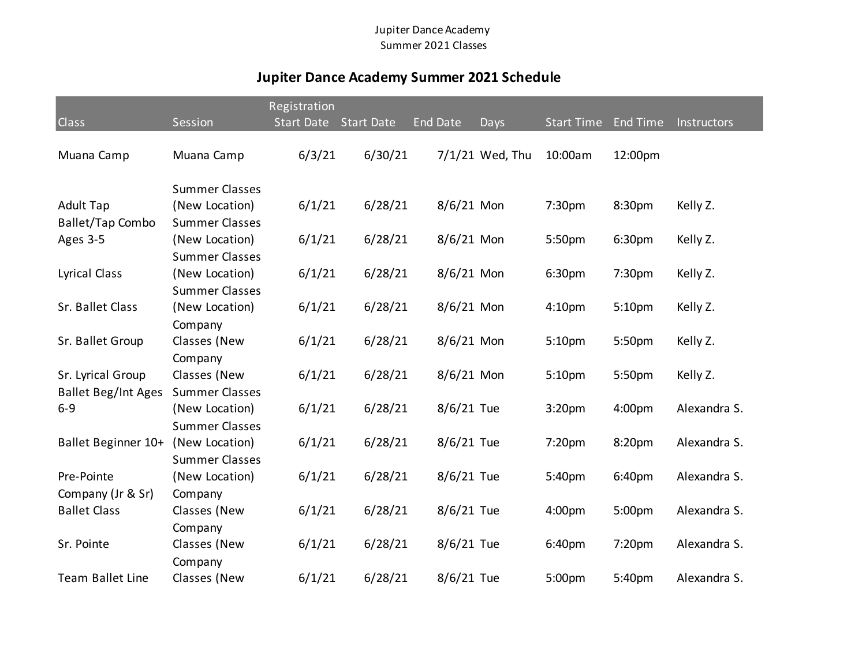## Jupiter Dance Academy Summer 2021 Classes

## **Jupiter Dance Academy Summer 2021 Schedule**

|                                                 |                                         | Registration      |                   |                 |                 |                    |                 |              |
|-------------------------------------------------|-----------------------------------------|-------------------|-------------------|-----------------|-----------------|--------------------|-----------------|--------------|
| Class                                           | Session                                 | <b>Start Date</b> | <b>Start Date</b> | <b>End Date</b> | Days            | <b>Start Time</b>  | <b>End Time</b> | Instructors  |
| Muana Camp                                      | Muana Camp                              | 6/3/21            | 6/30/21           |                 | 7/1/21 Wed, Thu | 10:00am            | 12:00pm         |              |
| <b>Adult Tap</b>                                | <b>Summer Classes</b><br>(New Location) | 6/1/21            | 6/28/21           | $8/6/21$ Mon    |                 | 7:30pm             | 8:30pm          | Kelly Z.     |
| <b>Ballet/Tap Combo</b>                         | <b>Summer Classes</b>                   |                   |                   |                 |                 |                    |                 |              |
| Ages 3-5                                        | (New Location)<br><b>Summer Classes</b> | 6/1/21            | 6/28/21           | $8/6/21$ Mon    |                 | 5:50pm             | 6:30pm          | Kelly Z.     |
| <b>Lyrical Class</b>                            | (New Location)<br><b>Summer Classes</b> | 6/1/21            | 6/28/21           | $8/6/21$ Mon    |                 | 6:30pm             | 7:30pm          | Kelly Z.     |
| Sr. Ballet Class                                | (New Location)<br>Company               | 6/1/21            | 6/28/21           | 8/6/21 Mon      |                 | 4:10 <sub>pm</sub> | 5:10pm          | Kelly Z.     |
| Sr. Ballet Group                                | Classes (New<br>Company                 | 6/1/21            | 6/28/21           | $8/6/21$ Mon    |                 | 5:10pm             | 5:50pm          | Kelly Z.     |
| Sr. Lyrical Group<br><b>Ballet Beg/Int Ages</b> | Classes (New<br><b>Summer Classes</b>   | 6/1/21            | 6/28/21           | $8/6/21$ Mon    |                 | 5:10pm             | 5:50pm          | Kelly Z.     |
| $6 - 9$                                         | (New Location)<br><b>Summer Classes</b> | 6/1/21            | 6/28/21           | 8/6/21 Tue      |                 | 3:20pm             | 4:00pm          | Alexandra S. |
| Ballet Beginner 10+                             | (New Location)<br><b>Summer Classes</b> | 6/1/21            | 6/28/21           | 8/6/21 Tue      |                 | 7:20pm             | 8:20pm          | Alexandra S. |
| Pre-Pointe<br>Company (Jr & Sr)                 | (New Location)<br>Company               | 6/1/21            | 6/28/21           | 8/6/21 Tue      |                 | 5:40pm             | 6:40pm          | Alexandra S. |
| <b>Ballet Class</b>                             | Classes (New<br>Company                 | 6/1/21            | 6/28/21           | 8/6/21 Tue      |                 | 4:00pm             | 5:00pm          | Alexandra S. |
| Sr. Pointe                                      | Classes (New<br>Company                 | 6/1/21            | 6/28/21           | 8/6/21 Tue      |                 | 6:40pm             | 7:20pm          | Alexandra S. |
| <b>Team Ballet Line</b>                         | Classes (New                            | 6/1/21            | 6/28/21           | 8/6/21 Tue      |                 | 5:00pm             | 5:40pm          | Alexandra S. |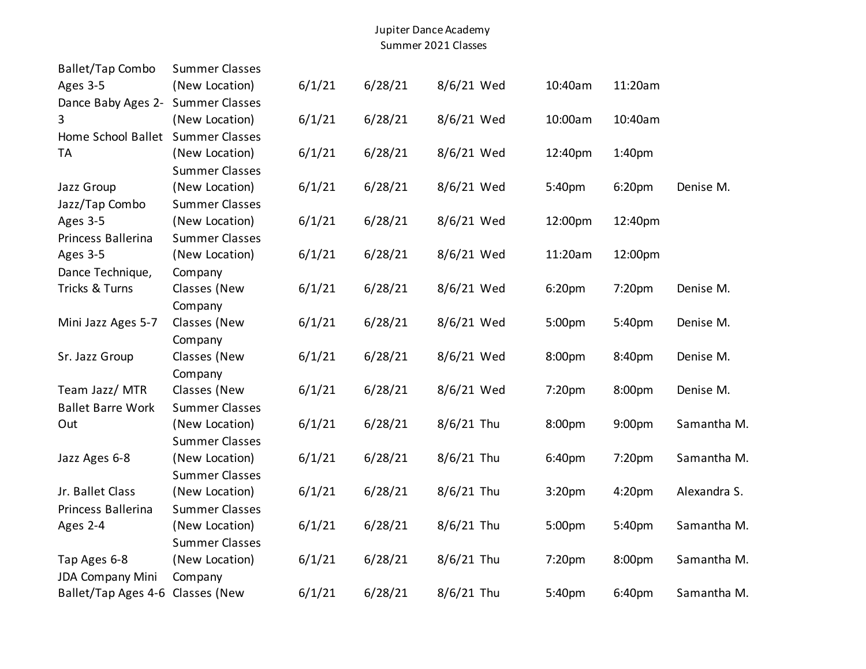## Jupiter Dance Academy Summer 2021 Classes

| <b>Ballet/Tap Combo</b>           | <b>Summer Classes</b> |        |         |              |                    |                    |              |
|-----------------------------------|-----------------------|--------|---------|--------------|--------------------|--------------------|--------------|
| Ages 3-5                          | (New Location)        | 6/1/21 | 6/28/21 | 8/6/21 Wed   | 10:40am            | 11:20am            |              |
| Dance Baby Ages 2-                | <b>Summer Classes</b> |        |         |              |                    |                    |              |
| 3                                 | (New Location)        | 6/1/21 | 6/28/21 | 8/6/21 Wed   | 10:00am            | 10:40am            |              |
| Home School Ballet Summer Classes |                       |        |         |              |                    |                    |              |
| <b>TA</b>                         | (New Location)        | 6/1/21 | 6/28/21 | 8/6/21 Wed   | 12:40pm            | 1:40 <sub>pm</sub> |              |
|                                   | <b>Summer Classes</b> |        |         |              |                    |                    |              |
| Jazz Group                        | (New Location)        | 6/1/21 | 6/28/21 | 8/6/21 Wed   | 5:40pm             | 6:20 <sub>pm</sub> | Denise M.    |
| Jazz/Tap Combo                    | <b>Summer Classes</b> |        |         |              |                    |                    |              |
| Ages 3-5                          | (New Location)        | 6/1/21 | 6/28/21 | 8/6/21 Wed   | 12:00pm            | 12:40pm            |              |
| Princess Ballerina                | <b>Summer Classes</b> |        |         |              |                    |                    |              |
| Ages 3-5                          | (New Location)        | 6/1/21 | 6/28/21 | 8/6/21 Wed   | 11:20am            | 12:00pm            |              |
| Dance Technique,                  | Company               |        |         |              |                    |                    |              |
| Tricks & Turns                    | Classes (New          | 6/1/21 | 6/28/21 | 8/6/21 Wed   | 6:20pm             | 7:20pm             | Denise M.    |
|                                   | Company               |        |         |              |                    |                    |              |
| Mini Jazz Ages 5-7                | Classes (New          | 6/1/21 | 6/28/21 | 8/6/21 Wed   | 5:00pm             | 5:40pm             | Denise M.    |
|                                   | Company               |        |         |              |                    |                    |              |
| Sr. Jazz Group                    | Classes (New          | 6/1/21 | 6/28/21 | 8/6/21 Wed   | 8:00pm             | 8:40pm             | Denise M.    |
|                                   | Company               |        |         |              |                    |                    |              |
| Team Jazz/ MTR                    | Classes (New          | 6/1/21 | 6/28/21 | 8/6/21 Wed   | 7:20pm             | 8:00pm             | Denise M.    |
| <b>Ballet Barre Work</b>          | <b>Summer Classes</b> |        |         |              |                    |                    |              |
| Out                               | (New Location)        | 6/1/21 | 6/28/21 | $8/6/21$ Thu | 8:00pm             | 9:00pm             | Samantha M.  |
|                                   | <b>Summer Classes</b> |        |         |              |                    |                    |              |
| Jazz Ages 6-8                     | (New Location)        | 6/1/21 | 6/28/21 | $8/6/21$ Thu | 6:40pm             | 7:20pm             | Samantha M.  |
|                                   | <b>Summer Classes</b> |        |         |              |                    |                    |              |
| Jr. Ballet Class                  | (New Location)        | 6/1/21 | 6/28/21 | $8/6/21$ Thu | 3:20 <sub>pm</sub> | 4:20pm             | Alexandra S. |
| Princess Ballerina                | <b>Summer Classes</b> |        |         |              |                    |                    |              |
| Ages 2-4                          | (New Location)        | 6/1/21 | 6/28/21 | $8/6/21$ Thu | 5:00pm             | 5:40pm             | Samantha M.  |
|                                   | <b>Summer Classes</b> |        |         |              |                    |                    |              |
| Tap Ages 6-8                      | (New Location)        | 6/1/21 | 6/28/21 | 8/6/21 Thu   | 7:20pm             | 8:00pm             | Samantha M.  |
| <b>JDA Company Mini</b>           | Company               |        |         |              |                    |                    |              |
| Ballet/Tap Ages 4-6 Classes (New  |                       | 6/1/21 | 6/28/21 | $8/6/21$ Thu | 5:40pm             | 6:40pm             | Samantha M.  |